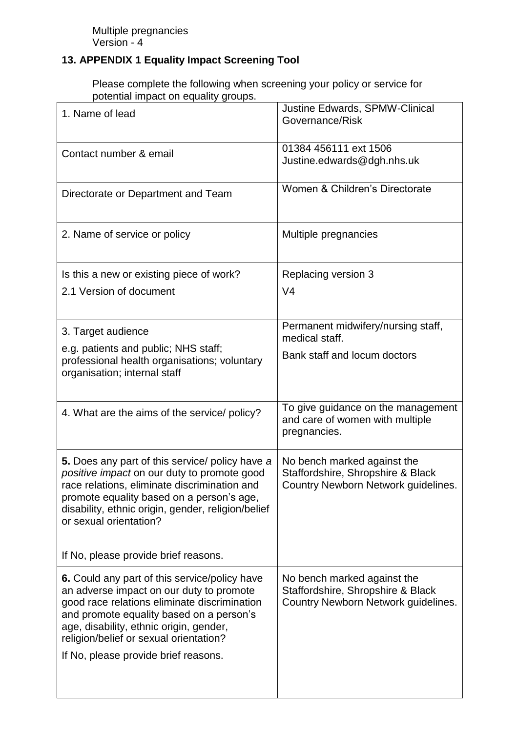## **13. APPENDIX 1 Equality Impact Screening Tool**

Please complete the following when screening your policy or service for potential impact on equality groups.

| 1. Name of lead                                                                                                                                                                                                                                                                                                    | Justine Edwards, SPMW-Clinical<br>Governance/Risk                                                       |
|--------------------------------------------------------------------------------------------------------------------------------------------------------------------------------------------------------------------------------------------------------------------------------------------------------------------|---------------------------------------------------------------------------------------------------------|
| Contact number & email                                                                                                                                                                                                                                                                                             | 01384 456111 ext 1506<br>Justine.edwards@dgh.nhs.uk                                                     |
| Directorate or Department and Team                                                                                                                                                                                                                                                                                 | Women & Children's Directorate                                                                          |
| 2. Name of service or policy                                                                                                                                                                                                                                                                                       | Multiple pregnancies                                                                                    |
| Is this a new or existing piece of work?<br>2.1 Version of document                                                                                                                                                                                                                                                | Replacing version 3<br>V <sub>4</sub>                                                                   |
| 3. Target audience<br>e.g. patients and public; NHS staff;<br>professional health organisations; voluntary<br>organisation; internal staff                                                                                                                                                                         | Permanent midwifery/nursing staff,<br>medical staff.<br>Bank staff and locum doctors                    |
| 4. What are the aims of the service/ policy?                                                                                                                                                                                                                                                                       | To give guidance on the management<br>and care of women with multiple<br>pregnancies.                   |
| 5. Does any part of this service/ policy have a<br>positive impact on our duty to promote good<br>race relations, eliminate discrimination and<br>promote equality based on a person's age,<br>disability, ethnic origin, gender, religion/belief<br>or sexual orientation?                                        | No bench marked against the<br>Staffordshire, Shropshire & Black<br>Country Newborn Network guidelines. |
| If No, please provide brief reasons.                                                                                                                                                                                                                                                                               |                                                                                                         |
| 6. Could any part of this service/policy have<br>an adverse impact on our duty to promote<br>good race relations eliminate discrimination<br>and promote equality based on a person's<br>age, disability, ethnic origin, gender,<br>religion/belief or sexual orientation?<br>If No, please provide brief reasons. | No bench marked against the<br>Staffordshire, Shropshire & Black<br>Country Newborn Network guidelines. |